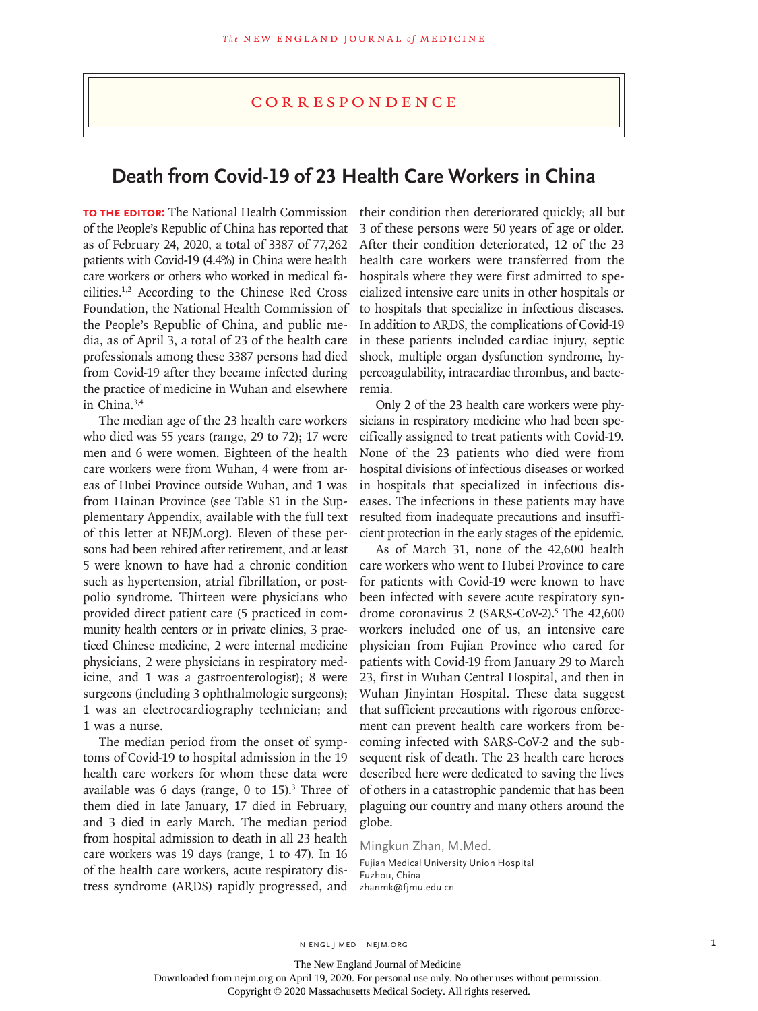## **CORRESPONDENCE**

## **Death from Covid-19 of 23 Health Care Workers in China**

**To the Editor:** The National Health Commission of the People's Republic of China has reported that as of February 24, 2020, a total of 3387 of 77,262 patients with Covid-19 (4.4%) in China were health care workers or others who worked in medical facilities.1,2 According to the Chinese Red Cross Foundation, the National Health Commission of the People's Republic of China, and public media, as of April 3, a total of 23 of the health care professionals among these 3387 persons had died from Covid-19 after they became infected during the practice of medicine in Wuhan and elsewhere in China.3,4

The median age of the 23 health care workers who died was 55 years (range, 29 to 72); 17 were men and 6 were women. Eighteen of the health care workers were from Wuhan, 4 were from areas of Hubei Province outside Wuhan, and 1 was from Hainan Province (see Table S1 in the Supplementary Appendix, available with the full text of this letter at NEJM.org). Eleven of these persons had been rehired after retirement, and at least 5 were known to have had a chronic condition such as hypertension, atrial fibrillation, or postpolio syndrome. Thirteen were physicians who provided direct patient care (5 practiced in community health centers or in private clinics, 3 practiced Chinese medicine, 2 were internal medicine physicians, 2 were physicians in respiratory medicine, and 1 was a gastroenterologist); 8 were surgeons (including 3 ophthalmologic surgeons); 1 was an electrocardiography technician; and 1 was a nurse.

The median period from the onset of symptoms of Covid-19 to hospital admission in the 19 health care workers for whom these data were available was  $6$  days (range,  $0$  to  $15$ ).<sup>3</sup> Three of them died in late January, 17 died in February, and 3 died in early March. The median period from hospital admission to death in all 23 health care workers was 19 days (range, 1 to 47). In 16 of the health care workers, acute respiratory distress syndrome (ARDS) rapidly progressed, and

their condition then deteriorated quickly; all but 3 of these persons were 50 years of age or older. After their condition deteriorated, 12 of the 23 health care workers were transferred from the hospitals where they were first admitted to specialized intensive care units in other hospitals or to hospitals that specialize in infectious diseases. In addition to ARDS, the complications of Covid-19 in these patients included cardiac injury, septic shock, multiple organ dysfunction syndrome, hypercoagulability, intracardiac thrombus, and bacteremia.

Only 2 of the 23 health care workers were physicians in respiratory medicine who had been specifically assigned to treat patients with Covid-19. None of the 23 patients who died were from hospital divisions of infectious diseases or worked in hospitals that specialized in infectious diseases. The infections in these patients may have resulted from inadequate precautions and insufficient protection in the early stages of the epidemic.

As of March 31, none of the 42,600 health care workers who went to Hubei Province to care for patients with Covid-19 were known to have been infected with severe acute respiratory syndrome coronavirus 2 (SARS-CoV-2).<sup>5</sup> The 42,600 workers included one of us, an intensive care physician from Fujian Province who cared for patients with Covid-19 from January 29 to March 23, first in Wuhan Central Hospital, and then in Wuhan Jinyintan Hospital. These data suggest that sufficient precautions with rigorous enforcement can prevent health care workers from becoming infected with SARS-CoV-2 and the subsequent risk of death. The 23 health care heroes described here were dedicated to saving the lives of others in a catastrophic pandemic that has been plaguing our country and many others around the globe.

Mingkun Zhan, M.Med.

Fujian Medical University Union Hospital Fuzhou, China zhanmk@fjmu.edu.cn

The New England Journal of Medicine

Downloaded from nejm.org on April 19, 2020. For personal use only. No other uses without permission.

Copyright © 2020 Massachusetts Medical Society. All rights reserved.